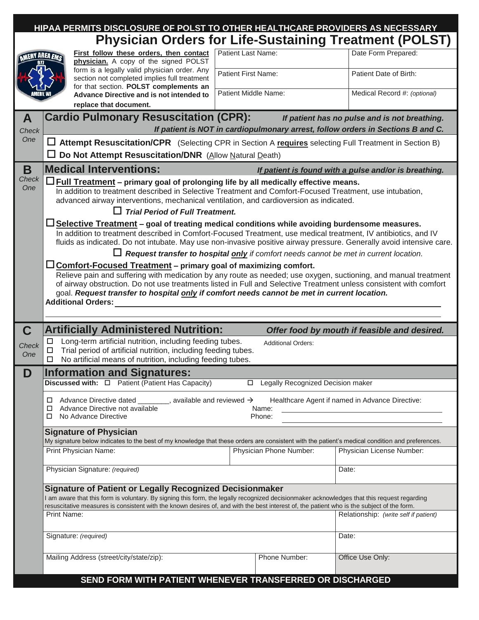|                                                               | HIPAA PERMITS DISCLOSURE OF POLST TO OTHER HEALTHCARE PROVIDERS AS NECESSARY                                                                                                                                                                                                                                                                                                                                                                |                                       |                              |  |  |  |  |  |
|---------------------------------------------------------------|---------------------------------------------------------------------------------------------------------------------------------------------------------------------------------------------------------------------------------------------------------------------------------------------------------------------------------------------------------------------------------------------------------------------------------------------|---------------------------------------|------------------------------|--|--|--|--|--|
| <b>Physician Orders for Life-Sustaining Treatment (POLST)</b> |                                                                                                                                                                                                                                                                                                                                                                                                                                             |                                       |                              |  |  |  |  |  |
| AMERY AREA EMC                                                | First follow these orders, then contact<br>physician. A copy of the signed POLST                                                                                                                                                                                                                                                                                                                                                            | Patient Last Name:                    | Date Form Prepared:          |  |  |  |  |  |
|                                                               | form is a legally valid physician order. Any<br>section not completed implies full treatment                                                                                                                                                                                                                                                                                                                                                | <b>Patient First Name:</b>            | Patient Date of Birth:       |  |  |  |  |  |
|                                                               | for that section. POLST complements an<br>Advance Directive and is not intended to                                                                                                                                                                                                                                                                                                                                                          | Patient Middle Name:                  | Medical Record #: (optional) |  |  |  |  |  |
| replace that document.                                        |                                                                                                                                                                                                                                                                                                                                                                                                                                             |                                       |                              |  |  |  |  |  |
| A<br>Check                                                    | <b>Cardio Pulmonary Resuscitation (CPR):</b><br>If patient has no pulse and is not breathing.<br>If patient is NOT in cardiopulmonary arrest, follow orders in Sections B and C.                                                                                                                                                                                                                                                            |                                       |                              |  |  |  |  |  |
| One                                                           | □ Attempt Resuscitation/CPR (Selecting CPR in Section A requires selecting Full Treatment in Section B)                                                                                                                                                                                                                                                                                                                                     |                                       |                              |  |  |  |  |  |
|                                                               | Do Not Attempt Resuscitation/DNR (Allow Natural Death)                                                                                                                                                                                                                                                                                                                                                                                      |                                       |                              |  |  |  |  |  |
| B                                                             | <b>Medical Interventions:</b><br>If patient is found with a pulse and/or is breathing.                                                                                                                                                                                                                                                                                                                                                      |                                       |                              |  |  |  |  |  |
| Check<br>One                                                  | $\square$ Full Treatment – primary goal of prolonging life by all medically effective means.<br>In addition to treatment described in Selective Treatment and Comfort-Focused Treatment, use intubation,<br>advanced airway interventions, mechanical ventilation, and cardioversion as indicated.<br>$\Box$ Trial Period of Full Treatment.                                                                                                |                                       |                              |  |  |  |  |  |
|                                                               | Selective Treatment - goal of treating medical conditions while avoiding burdensome measures.<br>In addition to treatment described in Comfort-Focused Treatment, use medical treatment, IV antibiotics, and IV<br>fluids as indicated. Do not intubate. May use non-invasive positive airway pressure. Generally avoid intensive care.                                                                                                     |                                       |                              |  |  |  |  |  |
|                                                               | $\Box$ Request transfer to hospital only if comfort needs cannot be met in current location.                                                                                                                                                                                                                                                                                                                                                |                                       |                              |  |  |  |  |  |
|                                                               | <b>Comfort-Focused Treatment - primary goal of maximizing comfort.</b><br>Relieve pain and suffering with medication by any route as needed; use oxygen, suctioning, and manual treatment<br>of airway obstruction. Do not use treatments listed in Full and Selective Treatment unless consistent with comfort<br>goal. Request transfer to hospital only if comfort needs cannot be met in current location.<br><b>Additional Orders:</b> |                                       |                              |  |  |  |  |  |
| $\mathbf C$                                                   | <b>Artificially Administered Nutrition:</b><br>Offer food by mouth if feasible and desired.                                                                                                                                                                                                                                                                                                                                                 |                                       |                              |  |  |  |  |  |
| Check<br>One                                                  | Long-term artificial nutrition, including feeding tubes.<br>□<br><b>Additional Orders:</b><br>Trial period of artificial nutrition, including feeding tubes.<br>□<br>No artificial means of nutrition, including feeding tubes.                                                                                                                                                                                                             |                                       |                              |  |  |  |  |  |
| D                                                             | <b>Information and Signatures:</b>                                                                                                                                                                                                                                                                                                                                                                                                          |                                       |                              |  |  |  |  |  |
|                                                               | <b>Legally Recognized Decision maker</b>                                                                                                                                                                                                                                                                                                                                                                                                    |                                       |                              |  |  |  |  |  |
|                                                               | Advance Directive dated $\frac{1}{\sqrt{1-\frac{1}{2}}}\$ , available and reviewed $\rightarrow$<br>Healthcare Agent if named in Advance Directive:<br>□<br>Advance Directive not available<br>Name:<br>◻<br>No Advance Directive<br>Phone:<br>□                                                                                                                                                                                            |                                       |                              |  |  |  |  |  |
|                                                               | <b>Signature of Physician</b>                                                                                                                                                                                                                                                                                                                                                                                                               |                                       |                              |  |  |  |  |  |
|                                                               | My signature below indicates to the best of my knowledge that these orders are consistent with the patient's medical condition and preferences.<br>Print Physician Name:                                                                                                                                                                                                                                                                    | Physician Phone Number:               | Physician License Number:    |  |  |  |  |  |
|                                                               |                                                                                                                                                                                                                                                                                                                                                                                                                                             |                                       |                              |  |  |  |  |  |
|                                                               | Physician Signature: (required)                                                                                                                                                                                                                                                                                                                                                                                                             |                                       | Date:                        |  |  |  |  |  |
|                                                               | <b>Signature of Patient or Legally Recognized Decisionmaker</b><br>am aware that this form is voluntary. By signing this form, the legally recognized decisionmaker acknowledges that this request regarding<br>resuscitative measures is consistent with the known desires of, and with the best interest of, the patient who is the subject of the form.                                                                                  |                                       |                              |  |  |  |  |  |
|                                                               | Print Name:                                                                                                                                                                                                                                                                                                                                                                                                                                 | Relationship: (write self if patient) |                              |  |  |  |  |  |
|                                                               | Signature: (required)                                                                                                                                                                                                                                                                                                                                                                                                                       |                                       | Date:                        |  |  |  |  |  |
|                                                               | Mailing Address (street/city/state/zip):                                                                                                                                                                                                                                                                                                                                                                                                    | Phone Number:                         | Office Use Only:             |  |  |  |  |  |
|                                                               | SEND FORM WITH PATIENT WHENEVER TRANSFERRED OR DISCHARGED                                                                                                                                                                                                                                                                                                                                                                                   |                                       |                              |  |  |  |  |  |